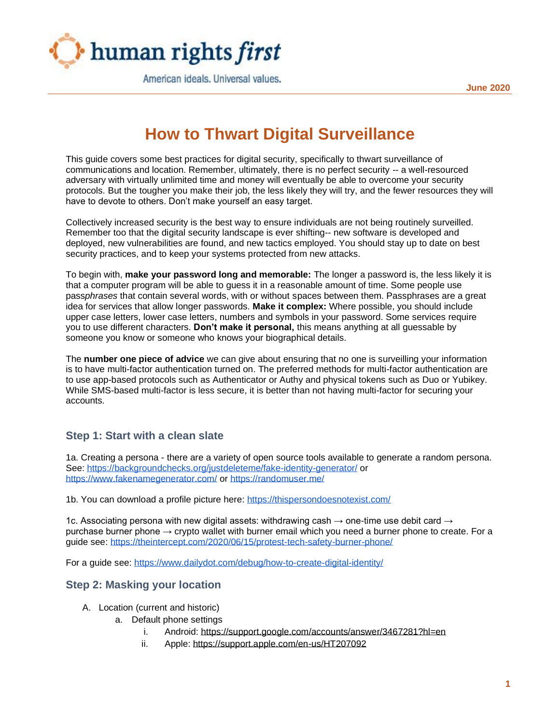**June 2020**



American ideals, Universal values.

# **How to Thwart Digital Surveillance**

This guide covers some best practices for digital security, specifically to thwart surveillance of communications and location. Remember, ultimately, there is no perfect security -- a well-resourced adversary with virtually unlimited time and money will eventually be able to overcome your security protocols. But the tougher you make their job, the less likely they will try, and the fewer resources they will have to devote to others. Don't make yourself an easy target.

Collectively increased security is the best way to ensure individuals are not being routinely surveilled. Remember too that the digital security landscape is ever shifting-- new software is developed and deployed, new vulnerabilities are found, and new tactics employed. You should stay up to date on best security practices, and to keep your systems protected from new attacks.

To begin with, **make your password long and memorable:** The longer a password is, the less likely it is that a computer program will be able to guess it in a reasonable amount of time. Some people use pass*phrases* that contain several words, with or without spaces between them. Passphrases are a great idea for services that allow longer passwords. **Make it complex:** Where possible, you should include upper case letters, lower case letters, numbers and symbols in your password. Some services require you to use different characters. **Don't make it personal,** this means anything at all guessable by someone you know or someone who knows your biographical details.

The **number one piece of advice** we can give about ensuring that no one is surveilling your information is to have multi-factor authentication turned on. The preferred methods for multi-factor authentication are to use app-based protocols such as Authenticator or Authy and physical tokens such as Duo or Yubikey. While SMS-based multi-factor is less secure, it is better than not having multi-factor for securing your accounts.

## **Step 1: Start with a clean slate**

1a. Creating a persona - there are a variety of open source tools available to generate a random persona. See:<https://backgroundchecks.org/justdeleteme/fake-identity-generator/> or <https://www.fakenamegenerator.com/> or<https://randomuser.me/>

1b. You can download a profile picture here:<https://thispersondoesnotexist.com/>

1c. Associating persona with new digital assets: withdrawing cash  $\rightarrow$  one-time use debit card  $\rightarrow$ purchase burner phone  $\rightarrow$  crypto wallet with burner email which you need a burner phone to create. For a guide see:<https://theintercept.com/2020/06/15/protest-tech-safety-burner-phone/>

For a guide see:<https://www.dailydot.com/debug/how-to-create-digital-identity/>

#### **Step 2: Masking your location**

- A. Location (current and historic)
	- a. Default phone settings
		- i. Android:<https://support.google.com/accounts/answer/3467281?hl=en>
		- ii. Apple:<https://support.apple.com/en-us/HT207092>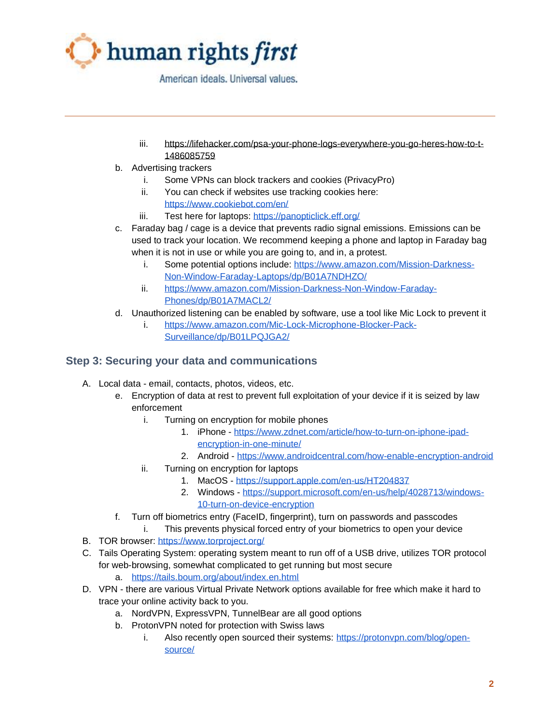

American ideals, Universal values.

- iii. [https://lifehacker.com/psa-your-phone-logs-everywhere-you-go-heres-how-to-t-](https://lifehacker.com/psa-your-phone-logs-everywhere-you-go-heres-how-to-t-1486085759)[1486085759](https://lifehacker.com/psa-your-phone-logs-everywhere-you-go-heres-how-to-t-1486085759)
- b. Advertising trackers
	- i. Some VPNs can block trackers and cookies (PrivacyPro)
	- ii. You can check if websites use tracking cookies here: <https://www.cookiebot.com/en/>
	- iii. Test here for laptops:<https://panopticlick.eff.org/>
- c. Faraday bag / cage is a device that prevents radio signal emissions. Emissions can be used to track your location. We recommend keeping a phone and laptop in Faraday bag when it is not in use or while you are going to, and in, a protest.
	- i. Some potential options include: [https://www.amazon.com/Mission-Darkness-](https://www.amazon.com/Mission-Darkness-Non-Window-Faraday-Laptops/dp/B01A7NDHZO/)[Non-Window-Faraday-Laptops/dp/B01A7NDHZO/](https://www.amazon.com/Mission-Darkness-Non-Window-Faraday-Laptops/dp/B01A7NDHZO/)
	- ii. [https://www.amazon.com/Mission-Darkness-Non-Window-Faraday-](https://www.amazon.com/Mission-Darkness-Non-Window-Faraday-Phones/dp/B01A7MACL2/)[Phones/dp/B01A7MACL2/](https://www.amazon.com/Mission-Darkness-Non-Window-Faraday-Phones/dp/B01A7MACL2/)
- d. Unauthorized listening can be enabled by software, use a tool like Mic Lock to prevent it
	- i. [https://www.amazon.com/Mic-Lock-Microphone-Blocker-Pack-](https://www.amazon.com/Mic-Lock-Microphone-Blocker-Pack-Surveillance/dp/B01LPQJGA2/)[Surveillance/dp/B01LPQJGA2/](https://www.amazon.com/Mic-Lock-Microphone-Blocker-Pack-Surveillance/dp/B01LPQJGA2/)

#### **Step 3: Securing your data and communications**

- A. Local data email, contacts, photos, videos, etc.
	- e. Encryption of data at rest to prevent full exploitation of your device if it is seized by law enforcement
		- i. Turning on encryption for mobile phones
			- 1. iPhone [https://www.zdnet.com/article/how-to-turn-on-iphone-ipad](https://www.zdnet.com/article/how-to-turn-on-iphone-ipad-encryption-in-one-minute/)[encryption-in-one-minute/](https://www.zdnet.com/article/how-to-turn-on-iphone-ipad-encryption-in-one-minute/)
			- 2. Android <https://www.androidcentral.com/how-enable-encryption-android>
		- ii. Turning on encryption for laptops
			- 1. MacOS <https://support.apple.com/en-us/HT204837>
			- 2. Windows [https://support.microsoft.com/en-us/help/4028713/windows-](https://support.microsoft.com/en-us/help/4028713/windows-10-turn-on-device-encryption)[10-turn-on-device-encryption](https://support.microsoft.com/en-us/help/4028713/windows-10-turn-on-device-encryption)
	- f. Turn off biometrics entry (FaceID, fingerprint), turn on passwords and passcodes
		- i. This prevents physical forced entry of your biometrics to open your device
- B. TOR browser:<https://www.torproject.org/>
- C. Tails Operating System: operating system meant to run off of a USB drive, utilizes TOR protocol for web-browsing, somewhat complicated to get running but most secure
	- a. <https://tails.boum.org/about/index.en.html>
- D. VPN there are various Virtual Private Network options available for free which make it hard to trace your online activity back to you.
	- a. NordVPN, ExpressVPN, TunnelBear are all good options
	- b. ProtonVPN noted for protection with Swiss laws
		- i. Also recently open sourced their systems: https://protonypn.com/blog/open[source/](https://protonvpn.com/blog/open-source/)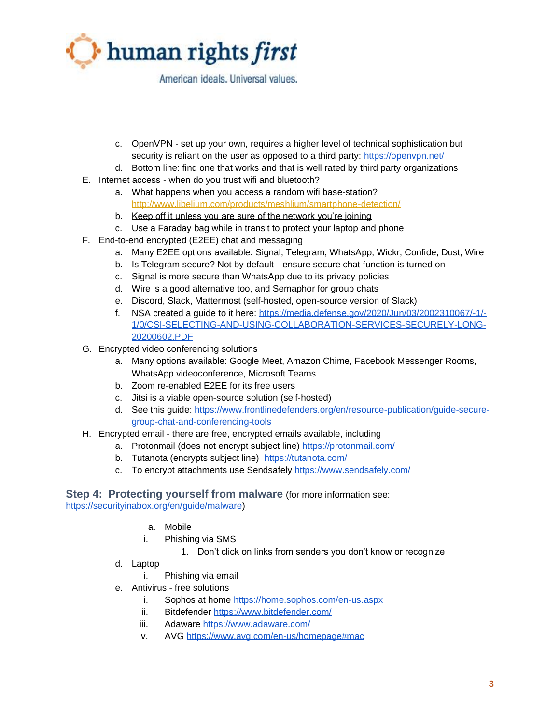

American ideals, Universal values.

- c. OpenVPN set up your own, requires a higher level of technical sophistication but security is reliant on the user as opposed to a third party:<https://openvpn.net/>
- d. Bottom line: find one that works and that is well rated by third party organizations
- E. Internet access when do you trust wifi and bluetooth?
	- a. What happens when you access a random wifi base-station[?](http://www.libelium.com/products/meshlium/smartphone-detection/) <http://www.libelium.com/products/meshlium/smartphone-detection/>
	- b. Keep off it unless you are sure of the network you're joining
	- c. Use a Faraday bag while in transit to protect your laptop and phone
- F. End-to-end encrypted (E2EE) chat and messaging
	- a. Many E2EE options available: Signal, Telegram, WhatsApp, Wickr, Confide, Dust, Wire
	- b. Is Telegram secure? Not by default-- ensure secure chat function is turned on
	- c. Signal is more secure than WhatsApp due to its privacy policies
	- d. Wire is a good alternative too, and Semaphor for group chats
	- e. Discord, Slack, Mattermost (self-hosted, open-source version of Slack)
	- f. NSA created a guide to it here: [https://media.defense.gov/2020/Jun/03/2002310067/-1/-](https://media.defense.gov/2020/Jun/03/2002310067/-1/-1/0/CSI-SELECTING-AND-USING-COLLABORATION-SERVICES-SECURELY-LONG-20200602.PDF) [1/0/CSI-SELECTING-AND-USING-COLLABORATION-SERVICES-SECURELY-LONG-](https://media.defense.gov/2020/Jun/03/2002310067/-1/-1/0/CSI-SELECTING-AND-USING-COLLABORATION-SERVICES-SECURELY-LONG-20200602.PDF)[20200602.PDF](https://media.defense.gov/2020/Jun/03/2002310067/-1/-1/0/CSI-SELECTING-AND-USING-COLLABORATION-SERVICES-SECURELY-LONG-20200602.PDF)
- G. Encrypted video conferencing solutions
	- a. Many options available: Google Meet, Amazon Chime, Facebook Messenger Rooms, WhatsApp videoconference, Microsoft Teams
	- b. Zoom re-enabled E2EE for its free users
	- c. Jitsi is a viable open-source solution (self-hosted)
	- d. See this guide: [https://www.frontlinedefenders.org/en/resource-publication/guide-secure](https://www.frontlinedefenders.org/en/resource-publication/guide-secure-group-chat-and-conferencing-tools)[group-chat-and-conferencing-tools](https://www.frontlinedefenders.org/en/resource-publication/guide-secure-group-chat-and-conferencing-tools)
- H. Encrypted email there are free, encrypted emails available, including
	- a. Protonmail (does not encrypt subject line)<https://protonmail.com/>
	- b. Tutanota (encrypts subject line) <https://tutanota.com/>
	- c. To encrypt attachments use Sendsafely<https://www.sendsafely.com/>

#### **Step 4: Protecting yourself from malware** (for more information see:

[https://securityinabox.org/en/guide/malware\)](https://securityinabox.org/en/guide/malware)

- a. Mobile
- i. Phishing via SMS
	- 1. Don't click on links from senders you don't know or recognize
- d. Laptop
	- i. Phishing via email
- e. Antivirus free solutions
	- i. Sophos at home<https://home.sophos.com/en-us.aspx>
	- ii. Bitdefender<https://www.bitdefender.com/>
	- iii. Adaware<https://www.adaware.com/>
	- iv. AVG<https://www.avg.com/en-us/homepage#mac>